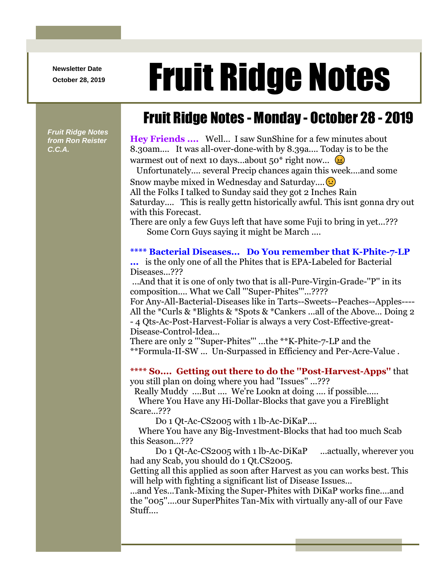**Newsletter Date**

# Newsletter Date **Fruit Ridge Notes**

*Fruit Ridge Notes from Ron Reister C.C.A.*

## Fruit Ridge Notes - Monday - October 28 - 2019

**Hey Friends ....** Well... I saw SunShine for a few minutes about 8.30am.... It was all-over-done-with by 8.39a.... Today is to be the warmest out of next 10 days...about  $50^*$  right now...  $\circledast$ 

Unfortunately.... several Precip chances again this week....and some Snow maybe mixed in Wednesday and Saturday.... $\bullet$ All the Folks I talked to Sunday said they got 2 Inches Rain

Saturday.... This is really gettn historically awful. This isnt gonna dry out with this Forecast.

There are only a few Guys left that have some Fuji to bring in yet...??? Some Corn Guys saying it might be March ....

#### **\*\*\*\* Bacterial Diseases... Do You remember that K-Phite-7-LP**

**...** is the only one of all the Phites that is EPA-Labeled for Bacterial Diseases...???

...And that it is one of only two that is all-Pure-Virgin-Grade-''P'' in its composition.... What we Call "'Super-Phites"'...????

For Any-All-Bacterial-Diseases like in Tarts--Sweets--Peaches--Apples---- All the \*Curls & \*Blights & \*Spots & \*Cankers ...all of the Above... Doing 2 - 4 Qts-Ac-Post-Harvest-Foliar is always a very Cost-Effective-great-Disease-Control-Idea...

There are only 2 '''Super-Phites''' ...the \*\*K-Phite-7-LP and the \*\*Formula-II-SW ... Un-Surpassed in Efficiency and Per-Acre-Value .

**\*\*\*\* So.... Getting out there to do the ''Post-Harvest-Apps''** that you still plan on doing where you had ''Issues'' ...???

Really Muddy ....But .... We're Lookn at doing .... if possible.....

Where You Have any Hi-Dollar-Blocks that gave you a FireBlight Scare...???

Do 1 Qt-Ac-CS2005 with 1 lb-Ac-DiKaP....

Where You have any Big-Investment-Blocks that had too much Scab this Season...???

Do 1 Qt-Ac-CS2005 with 1 lb-Ac-DiKaP ...actually, wherever you had any Scab, you should do 1 Qt.CS2005.

Getting all this applied as soon after Harvest as you can works best. This will help with fighting a significant list of Disease Issues...

...and Yes...Tank-Mixing the Super-Phites with DiKaP works fine....and the ''005''....our SuperPhites Tan-Mix with virtually any-all of our Fave Stuff....